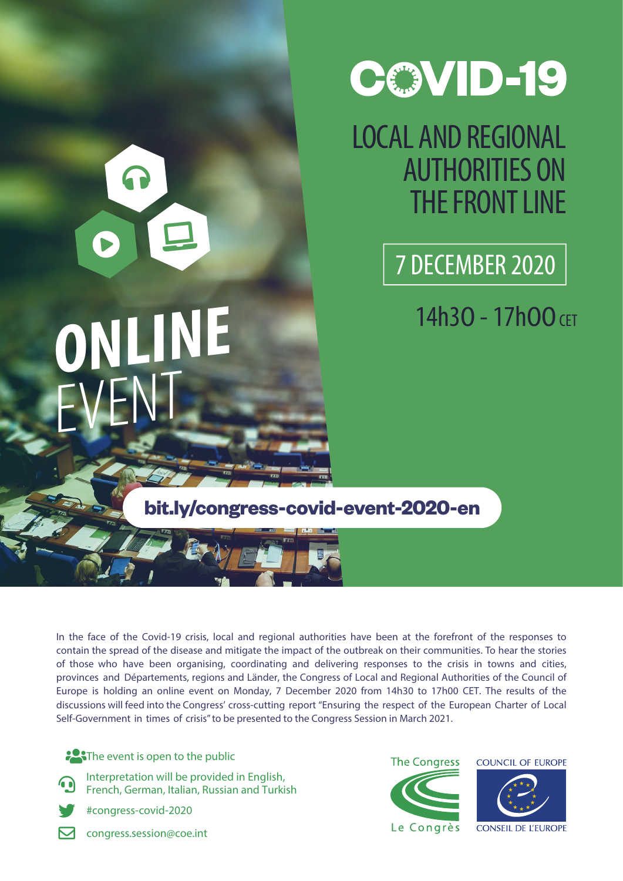

# LOCAL AND REGIONAL AUTHORITIES ON THE FRONT LINE

7 DECEMBER 2020

14h30 - 17h00 CET

**bit.ly/congress-covid-event-2020-en**

In the face of the Covid-19 crisis, local and regional authorities have been at the forefront of the responses to contain the spread of the disease and mitigate the impact of the outbreak on their communities. To hear the stories of those who have been organising, coordinating and delivering responses to the crisis in towns and cities, provinces and Départements, regions and Länder, the Congress of Local and Regional Authorities of the Council of Europe is holding an online event on Monday, 7 December 2020 from 14h30 to 17h00 CET. The results of the discussions will feed into the Congress' cross-cutting report "Ensuring the respect of the European Charter of Local Self-Government in times of crisis" to be presented to the Congress Session in March 2021.

**CAT** The event is open to the public

OE

**ONLINE**

EVENT

 $\Omega$ 

- Interpretation will be provided in English, French, German, Italian, Russian and Turkish
	- #congress-covid-2020
- **M** congress.session@coe.int

**The Congress COUNCIL OF EUROPE** Le Congrès **CONSEIL DE L'EUROPE**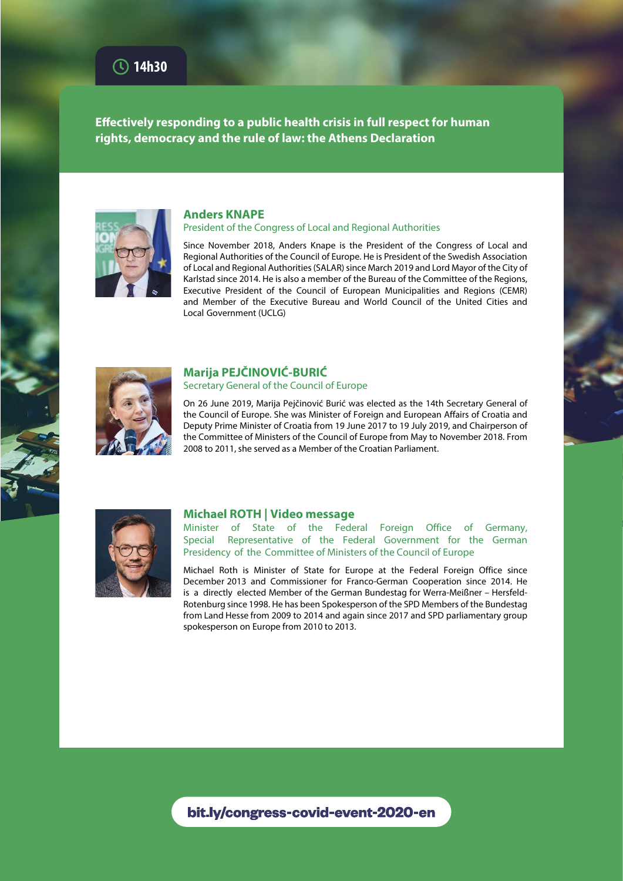**Effectively responding to a public health crisis in full respect for human rights, democracy and the rule of law: the Athens Declaration**



## **Anders KNAPE**

#### President of the Congress of Local and Regional Authorities

Since November 2018, Anders Knape is the President of the Congress of Local and Regional Authorities of the Council of Europe. He is President of the Swedish Association of Local and Regional Authorities (SALAR) since March 2019 and Lord Mayor of the City of Karlstad since 2014. He is also a member of the Bureau of the Committee of the Regions, Executive President of the Council of European Municipalities and Regions (CEMR) and Member of the Executive Bureau and World Council of the United Cities and Local Government (UCLG)



# **Marija PEJČINOVIĆ-BURIĆ**

## Secretary General of the Council of Europe

On 26 June 2019, Marija Pejčinović Burić was elected as the 14th Secretary General of the Council of Europe. She was Minister of Foreign and European Affairs of Croatia and Deputy Prime Minister of Croatia from 19 June 2017 to 19 July 2019, and Chairperson of the Committee of Ministers of the Council of Europe from May to November 2018. From 2008 to 2011, she served as a Member of the Croatian Parliament.



## **Michael ROTH | Video message**

Minister of State of the Federal Foreign Office of Germany, Special Representative of the Federal Government for the German Presidency of the Committee of Ministers of the Council of Europe

Michael Roth is Minister of State for Europe at the Federal Foreign Office since December 2013 and Commissioner for Franco-German Cooperation since 2014. He is a directly elected Member of the German Bundestag for Werra-Meißner – Hersfeld-Rotenburg since 1998. He has been Spokesperson of the SPD Members of the Bundestag from Land Hesse from 2009 to 2014 and again since 2017 and SPD parliamentary group spokesperson on Europe from 2010 to 2013.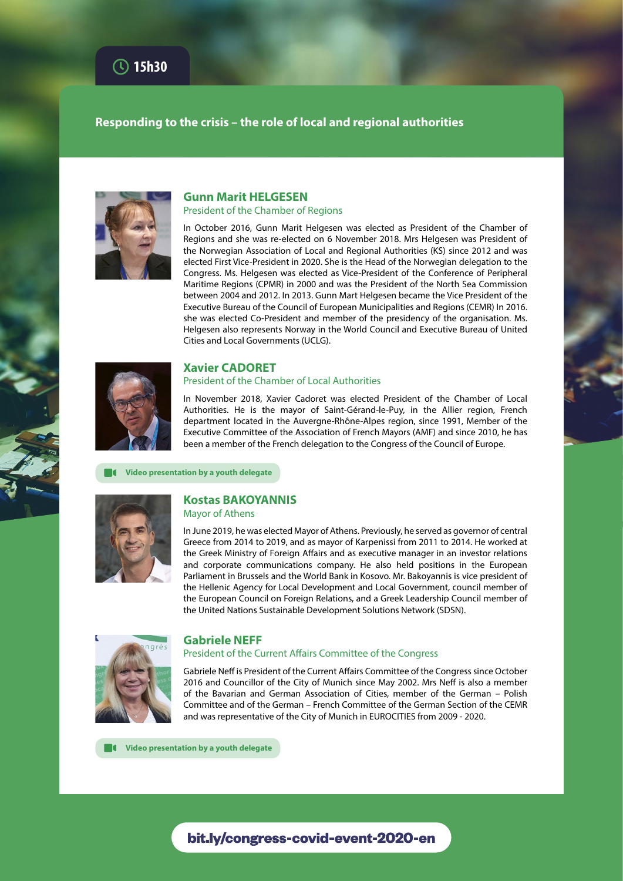# **Responding to the crisis – the role of local and regional authorities**



#### **Gunn Marit HELGESEN** President of the Chamber of Regions

In October 2016, Gunn Marit Helgesen was elected as President of the Chamber of Regions and she was re-elected on 6 November 2018. Mrs Helgesen was President of the Norwegian Association of Local and Regional Authorities (KS) since 2012 and was elected First Vice-President in 2020. She is the Head of the Norwegian delegation to the Congress. Ms. Helgesen was elected as Vice-President of the Conference of Peripheral Maritime Regions (CPMR) in 2000 and was the President of the North Sea Commission between 2004 and 2012. In 2013. Gunn Mart Helgesen became the Vice President of the Executive Bureau of the Council of European Municipalities and Regions (CEMR) In 2016. she was elected Co-President and member of the presidency of the organisation. Ms. Helgesen also represents Norway in the World Council and Executive Bureau of United Cities and Local Governments (UCLG).



# **Xavier CADORET**

### President of the Chamber of Local Authorities

In November 2018, Xavier Cadoret was elected President of the Chamber of Local Authorities. He is the mayor of Saint-Gérand-le-Puy, in the Allier region, French department located in the Auvergne-Rhône-Alpes region, since 1991, Member of the Executive Committee of the Association of French Mayors (AMF) and since 2010, he has been a member of the French delegation to the Congress of the Council of Europe.

 **Video presentation by a youth delegate**



# **Kostas BAKOYANNIS**

Mayor of Athens

In June 2019, he was elected Mayor of Athens. Previously, he served as governor of central Greece from 2014 to 2019, and as mayor of Karpenissi from 2011 to 2014. He worked at the Greek Ministry of Foreign Affairs and as executive manager in an investor relations and corporate communications company. He also held positions in the European Parliament in Brussels and the World Bank in Kosovo. Mr. Bakoyannis is vice president of the Hellenic Agency for Local Development and Local Government, council member of the European Council on Foreign Relations, and a Greek Leadership Council member of the United Nations Sustainable Development Solutions Network (SDSN).



### **Gabriele NEFF**

## President of the Current Affairs Committee of the Congress

Gabriele Neff is President of the Current Affairs Committee of the Congress since October 2016 and Councillor of the City of Munich since May 2002. Mrs Neff is also a member of the Bavarian and German Association of Cities, member of the German – Polish Committee and of the German – French Committee of the German Section of the CEMR and was representative of the City of Munich in EUROCITIES from 2009 - 2020.

 **Video presentation by a youth delegate**